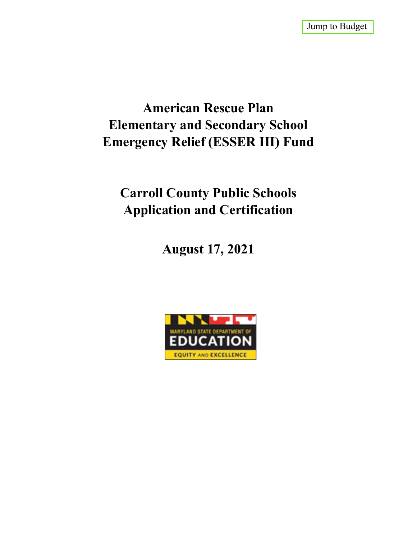# **American Rescue Plan Elementary and Secondary School Emergency Relief (ESSER III) Fund**

# **Carroll County Public Schools Application and Certification**

**August 17, 2021**

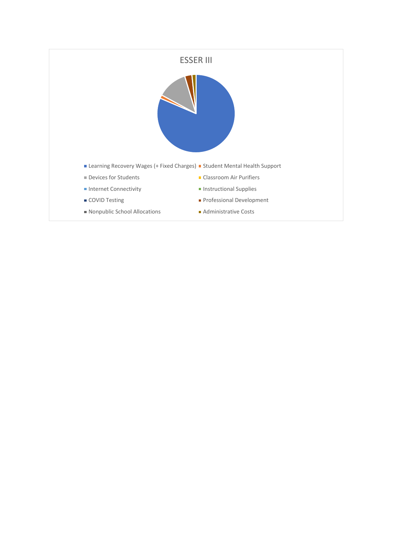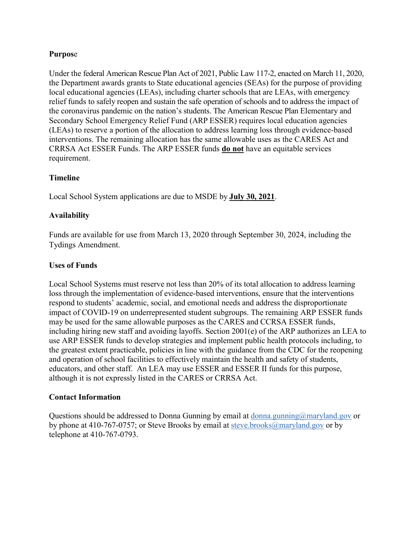## **Purpos**e

Under the federal American Rescue Plan Act of 2021, Public Law 117-2, enacted on March 11, 2020, the Department awards grants to State educational agencies (SEAs) for the purpose of providing local educational agencies (LEAs), including charter schools that are LEAs, with emergency relief funds to safely reopen and sustain the safe operation of schools and to address the impact of the coronavirus pandemic on the nation's students. The American Rescue Plan Elementary and Secondary School Emergency Relief Fund (ARP ESSER) requires local education agencies (LEAs) to reserve a portion of the allocation to address learning loss through evidence-based interventions. The remaining allocation has the same allowable uses as the CARES Act and CRRSA Act ESSER Funds. The ARP ESSER funds **do not** have an equitable services requirement.

## **Timeline**

Local School System applications are due to MSDE by **July 30, 2021**.

## **Availability**

Funds are available for use from March 13, 2020 through September 30, 2024, including the Tydings Amendment.

## **Uses of Funds**

Local School Systems must reserve not less than 20% of its total allocation to address learning loss through the implementation of evidence-based interventions, ensure that the interventions respond to students' academic, social, and emotional needs and address the disproportionate impact of COVID-19 on underrepresented student subgroups. The remaining ARP ESSER funds may be used for the same allowable purposes as the CARES and CCRSA ESSER funds, including hiring new staff and avoiding layoffs. Section 2001(e) of the ARP authorizes an LEA to use ARP ESSER funds to develop strategies and implement public health protocols including, to the greatest extent practicable, policies in line with the guidance from the CDC for the reopening and operation of school facilities to effectively maintain the health and safety of students, educators, and other staff. An LEA may use ESSER and ESSER II funds for this purpose, although it is not expressly listed in the CARES or CRRSA Act.

## **Contact Information**

Questions should be addressed to Donna Gunning by email at donna.gunning $@$ maryland.gov or by phone at 410-767-0757; or Steve Brooks by email at steve.brooks@maryland.gov or by telephone at 410-767-0793.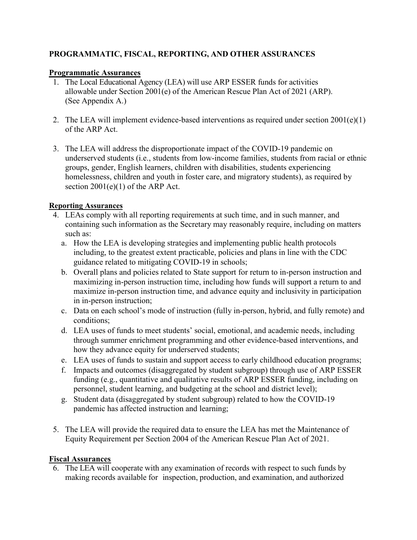## **PROGRAMMATIC, FISCAL, REPORTING, AND OTHER ASSURANCES**

## **Programmatic Assurances**

- 1. The Local Educational Agency (LEA) will use ARP ESSER funds for activities allowable under Section 2001(e) of the American Rescue Plan Act of 2021 (ARP). (See Appendix A.)
- 2. The LEA will implement evidence-based interventions as required under section 2001(e)(1) of the ARP Act.
- 3. The LEA will address the disproportionate impact of the COVID-19 pandemic on underserved students (i.e., students from low-income families, students from racial or ethnic groups, gender, English learners, children with disabilities, students experiencing homelessness, children and youth in foster care, and migratory students), as required by section  $2001(e)(1)$  of the ARP Act.

## **Reporting Assurances**

- 4. LEAs comply with all reporting requirements at such time, and in such manner, and containing such information as the Secretary may reasonably require, including on matters such as:
	- a. How the LEA is developing strategies and implementing public health protocols including, to the greatest extent practicable, policies and plans in line with the CDC guidance related to mitigating COVID-19 in schools;
	- b. Overall plans and policies related to State support for return to in-person instruction and maximizing in-person instruction time, including how funds will support a return to and maximize in-person instruction time, and advance equity and inclusivity in participation in in-person instruction;
	- c. Data on each school's mode of instruction (fully in-person, hybrid, and fully remote) and conditions;
	- d. LEA uses of funds to meet students' social, emotional, and academic needs, including through summer enrichment programming and other evidence-based interventions, and how they advance equity for underserved students;
	- e. LEA uses of funds to sustain and support access to early childhood education programs;
	- f. Impacts and outcomes (disaggregated by student subgroup) through use of ARP ESSER funding (e.g., quantitative and qualitative results of ARP ESSER funding, including on personnel, student learning, and budgeting at the school and district level);
	- g. Student data (disaggregated by student subgroup) related to how the COVID-19 pandemic has affected instruction and learning;
- 5. The LEA will provide the required data to ensure the LEA has met the Maintenance of Equity Requirement per Section 2004 of the American Rescue Plan Act of 2021.

## **Fiscal Assurances**

6. The LEA will cooperate with any examination of records with respect to such funds by making records available for inspection, production, and examination, and authorized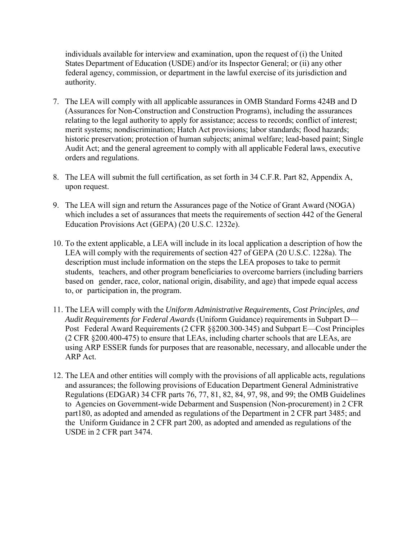individuals available for interview and examination, upon the request of (i) the United States Department of Education (USDE) and/or its Inspector General; or (ii) any other federal agency, commission, or department in the lawful exercise of its jurisdiction and authority.

- 7. The LEA will comply with all applicable assurances in OMB Standard Forms 424B and D (Assurances for Non-Construction and Construction Programs), including the assurances relating to the legal authority to apply for assistance; access to records; conflict of interest; merit systems; nondiscrimination; Hatch Act provisions; labor standards; flood hazards; historic preservation; protection of human subjects; animal welfare; lead-based paint; Single Audit Act; and the general agreement to comply with all applicable Federal laws, executive orders and regulations.
- 8. The LEA will submit the full certification, as set forth in 34 C.F.R. Part 82, Appendix A, upon request.
- 9. The LEA will sign and return the Assurances page of the Notice of Grant Award (NOGA) which includes a set of assurances that meets the requirements of section 442 of the General Education Provisions Act (GEPA) (20 U.S.C. 1232e).
- 10. To the extent applicable, a LEA will include in its local application a description of how the LEA will comply with the requirements of section 427 of GEPA (20 U.S.C. 1228a). The description must include information on the steps the LEA proposes to take to permit students, teachers, and other program beneficiaries to overcome barriers (including barriers based on gender, race, color, national origin, disability, and age) that impede equal access to, or participation in, the program.
- 11. The LEA will comply with the *Uniform Administrative Requirements, Cost Principles, and Audit Requirements for Federal Awards* (Uniform Guidance) requirements in Subpart D— Post Federal Award Requirements (2 CFR §§200.300-345) and Subpart E—Cost Principles (2 CFR §200.400-475) to ensure that LEAs, including charter schools that are LEAs, are using ARP ESSER funds for purposes that are reasonable, necessary, and allocable under the ARP Act.
- 12. The LEA and other entities will comply with the provisions of all applicable acts, regulations and assurances; the following provisions of Education Department General Administrative Regulations (EDGAR) 34 CFR parts 76, 77, 81, 82, 84, 97, 98, and 99; the OMB Guidelines to Agencies on Government-wide Debarment and Suspension (Non-procurement) in 2 CFR part180, as adopted and amended as regulations of the Department in 2 CFR part 3485; and the Uniform Guidance in 2 CFR part 200, as adopted and amended as regulations of the USDE in 2 CFR part 3474.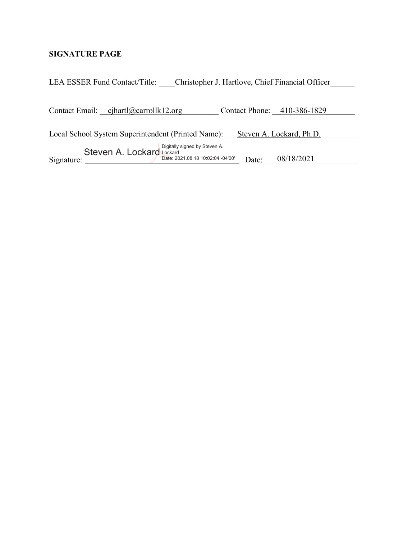## **SIGNATURE PAGE**

| LEA ESSER Fund Contact/Title: |                                                 | Christopher J. Hartlove, Chief Financial Officer                            |       |                             |  |
|-------------------------------|-------------------------------------------------|-----------------------------------------------------------------------------|-------|-----------------------------|--|
|                               | Contact Email: cihartl@carrollk12.org           |                                                                             |       | Contact Phone: 410-386-1829 |  |
|                               |                                                 | Local School System Superintendent (Printed Name): Steven A. Lockard, Ph.D. |       |                             |  |
| Signature:                    | Steven A. Lockard Lockard Examples by Steven A. | Date: 2021.08.18 10:02:04 -04'00'                                           | Date: | 08/18/2021                  |  |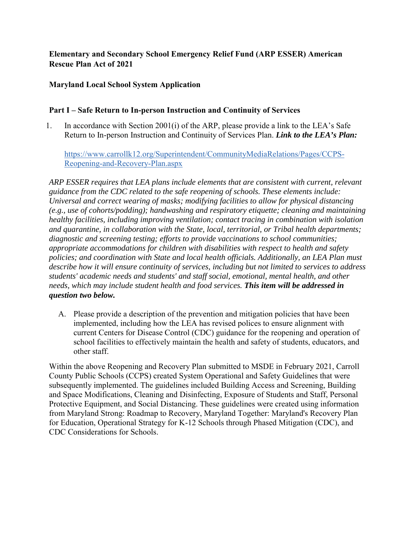## **Elementary and Secondary School Emergency Relief Fund (ARP ESSER) American Rescue Plan Act of 2021**

## **Maryland Local School System Application**

## **Part I – Safe Return to In-person Instruction and Continuity of Services**

1. In accordance with Section 2001(i) of the ARP, please provide a link to the LEA's Safe Return to In-person Instruction and Continuity of Services Plan. *Link to the LEA's Plan:*

https://www.carrollk12.org/Superintendent/CommunityMediaRelations/Pages/CCPS-Reopening-and-Recovery-Plan.aspx

*ARP ESSER requires that LEA plans include elements that are consistent with current, relevant guidance from the CDC related to the safe reopening of schools. These elements include: Universal and correct wearing of masks; modifying facilities to allow for physical distancing (e.g., use of cohorts/podding); handwashing and respiratory etiquette; cleaning and maintaining healthy facilities, including improving ventilation; contact tracing in combination with isolation and quarantine, in collaboration with the State, local, territorial, or Tribal health departments; diagnostic and screening testing; efforts to provide vaccinations to school communities; appropriate accommodations for children with disabilities with respect to health and safety policies; and coordination with State and local health officials. Additionally, an LEA Plan must describe how it will ensure continuity of services, including but not limited to services to address students' academic needs and students' and staff social, emotional, mental health, and other needs, which may include student health and food services. This item will be addressed in question two below.*

A. Please provide a description of the prevention and mitigation policies that have been implemented, including how the LEA has revised polices to ensure alignment with current Centers for Disease Control (CDC) guidance for the reopening and operation of school facilities to effectively maintain the health and safety of students, educators, and other staff.

Within the above Reopening and Recovery Plan submitted to MSDE in February 2021, Carroll County Public Schools (CCPS) created System Operational and Safety Guidelines that were subsequently implemented. The guidelines included Building Access and Screening, Building and Space Modifications, Cleaning and Disinfecting, Exposure of Students and Staff, Personal Protective Equipment, and Social Distancing. These guidelines were created using information from Maryland Strong: Roadmap to Recovery, Maryland Together: Maryland's Recovery Plan for Education, Operational Strategy for K-12 Schools through Phased Mitigation (CDC), and CDC Considerations for Schools.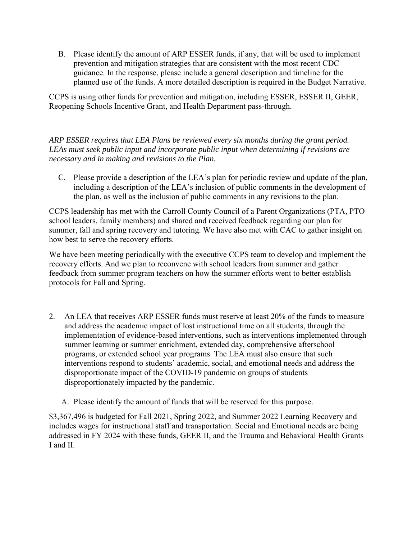B. Please identify the amount of ARP ESSER funds, if any, that will be used to implement prevention and mitigation strategies that are consistent with the most recent CDC guidance. In the response, please include a general description and timeline for the planned use of the funds. A more detailed description is required in the Budget Narrative.

CCPS is using other funds for prevention and mitigation, including ESSER, ESSER II, GEER, Reopening Schools Incentive Grant, and Health Department pass-through.

*ARP ESSER requires that LEA Plans be reviewed every six months during the grant period. LEAs must seek public input and incorporate public input when determining if revisions are necessary and in making and revisions to the Plan.* 

C. Please provide a description of the LEA's plan for periodic review and update of the plan, including a description of the LEA's inclusion of public comments in the development of the plan, as well as the inclusion of public comments in any revisions to the plan.

CCPS leadership has met with the Carroll County Council of a Parent Organizations (PTA, PTO school leaders, family members) and shared and received feedback regarding our plan for summer, fall and spring recovery and tutoring. We have also met with CAC to gather insight on how best to serve the recovery efforts.

We have been meeting periodically with the executive CCPS team to develop and implement the recovery efforts. And we plan to reconvene with school leaders from summer and gather feedback from summer program teachers on how the summer efforts went to better establish protocols for Fall and Spring.

- 2. An LEA that receives ARP ESSER funds must reserve at least 20% of the funds to measure and address the academic impact of lost instructional time on all students, through the implementation of evidence-based interventions, such as interventions implemented through summer learning or summer enrichment, extended day, comprehensive afterschool programs, or extended school year programs. The LEA must also ensure that such interventions respond to students' academic, social, and emotional needs and address the disproportionate impact of the COVID-19 pandemic on groups of students disproportionately impacted by the pandemic.
	- A. Please identify the amount of funds that will be reserved for this purpose.

\$3,367,496 is budgeted for Fall 2021, Spring 2022, and Summer 2022 Learning Recovery and includes wages for instructional staff and transportation. Social and Emotional needs are being addressed in FY 2024 with these funds, GEER II, and the Trauma and Behavioral Health Grants I and II.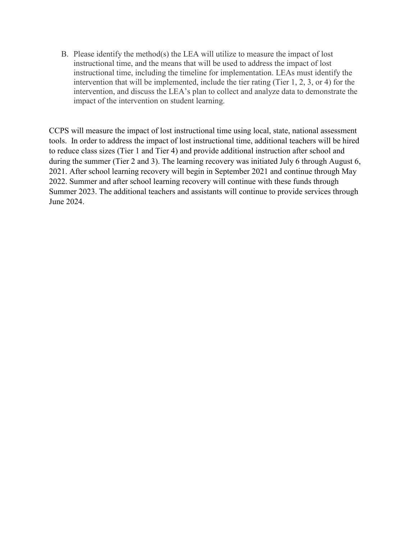B. Please identify the method(s) the LEA will utilize to measure the impact of lost instructional time, and the means that will be used to address the impact of lost instructional time, including the timeline for implementation. LEAs must identify the intervention that will be implemented, include the tier rating (Tier 1, 2, 3, or 4) for the intervention, and discuss the LEA's plan to collect and analyze data to demonstrate the impact of the intervention on student learning.

CCPS will measure the impact of lost instructional time using local, state, national assessment tools. In order to address the impact of lost instructional time, additional teachers will be hired to reduce class sizes (Tier 1 and Tier 4) and provide additional instruction after school and during the summer (Tier 2 and 3). The learning recovery was initiated July 6 through August 6, 2021. After school learning recovery will begin in September 2021 and continue through May 2022. Summer and after school learning recovery will continue with these funds through Summer 2023. The additional teachers and assistants will continue to provide services through June 2024.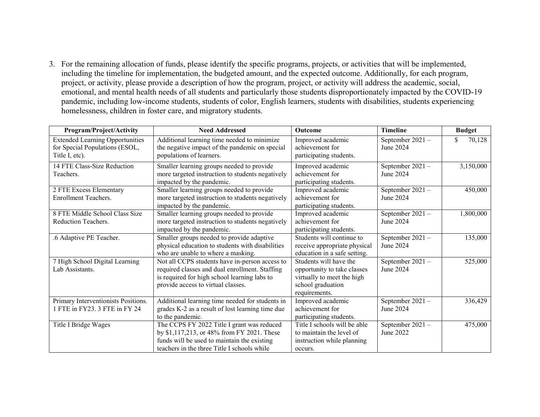3. For the remaining allocation of funds, please identify the specific programs, projects, or activities that will be implemented, including the timeline for implementation, the budgeted amount, and the expected outcome. Additionally, for each program, project, or activity, please provide a description of how the program, project, or activity will address the academic, social, emotional, and mental health needs of all students and particularly those students disproportionately impacted by the COVID-19 pandemic, including low-income students, students of color, English learners, students with disabilities, students experiencing homelessness, children in foster care, and migratory students.

| Program/Project/Activity                                                                   | <b>Need Addressed</b>                                                                                                                                                                  | Outcome                                                                                                                   | <b>Timeline</b>              | <b>Budget</b> |
|--------------------------------------------------------------------------------------------|----------------------------------------------------------------------------------------------------------------------------------------------------------------------------------------|---------------------------------------------------------------------------------------------------------------------------|------------------------------|---------------|
| <b>Extended Learning Opportunities</b><br>for Special Populations (ESOL,<br>Title I, etc). | Additional learning time needed to minimize<br>the negative impact of the pandemic on special<br>populations of learners.                                                              | Improved academic<br>achievement for<br>participating students.                                                           | September 2021-<br>June 2024 | 70,128        |
| 14 FTE Class-Size Reduction<br>Teachers.                                                   | Smaller learning groups needed to provide<br>more targeted instruction to students negatively<br>impacted by the pandemic.                                                             | Improved academic<br>achievement for<br>participating students.                                                           | September 2021-<br>June 2024 | 3,150,000     |
| 2 FTE Excess Elementary<br><b>Enrollment Teachers.</b>                                     | Smaller learning groups needed to provide<br>more targeted instruction to students negatively<br>impacted by the pandemic.                                                             | Improved academic<br>achievement for<br>participating students.                                                           | September 2021-<br>June 2024 | 450,000       |
| 8 FTE Middle School Class Size<br>Reduction Teachers.                                      | Smaller learning groups needed to provide<br>more targeted instruction to students negatively<br>impacted by the pandemic.                                                             | Improved academic<br>achievement for<br>participating students.                                                           | September 2021-<br>June 2024 | 1,800,000     |
| .6 Adaptive PE Teacher.                                                                    | Smaller groups needed to provide adaptive<br>physical education to students with disabilities<br>who are unable to where a masking.                                                    | Students will continue to<br>receive appropriate physical<br>education in a safe setting.                                 | September 2021-<br>June 2024 | 135,000       |
| 7 High School Digital Learning<br>Lab Assistants.                                          | Not all CCPS students have in-person access to<br>required classes and dual enrollment. Staffing<br>is required for high school learning labs to<br>provide access to virtual classes. | Students will have the<br>opportunity to take classes<br>virtually to meet the high<br>school graduation<br>requirements. | September 2021-<br>June 2024 | 525,000       |
| Primary Interventionists Positions.<br>1 FTE in FY23. 3 FTE in FY 24                       | Additional learning time needed for students in<br>grades K-2 as a result of lost learning time due<br>to the pandemic.                                                                | Improved academic<br>achievement for<br>participating students.                                                           | September 2021-<br>June 2024 | 336,429       |
| Title I Bridge Wages                                                                       | The CCPS FY 2022 Title I grant was reduced<br>by \$1,117,213, or 48% from FY 2021. These<br>funds will be used to maintain the existing<br>teachers in the three Title I schools while | Title I schools will be able<br>to maintain the level of<br>instruction while planning<br>occurs.                         | September 2021-<br>June 2022 | 475,000       |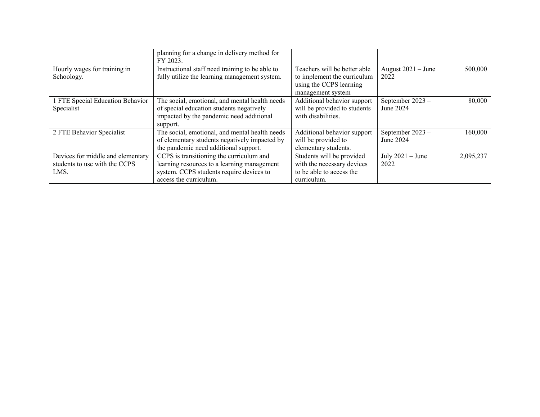|                                   | planning for a change in delivery method for<br>FY 2023.                                         |                                                             |                              |           |
|-----------------------------------|--------------------------------------------------------------------------------------------------|-------------------------------------------------------------|------------------------------|-----------|
| Hourly wages for training in      | Instructional staff need training to be able to<br>fully utilize the learning management system. | Teachers will be better able<br>to implement the curriculum | August $2021 -$ June<br>2022 | 500,000   |
| Schoology.                        |                                                                                                  | using the CCPS learning                                     |                              |           |
|                                   |                                                                                                  | management system                                           |                              |           |
| 1 FTE Special Education Behavior  | The social, emotional, and mental health needs                                                   | Additional behavior support                                 | September 2023 -             | 80,000    |
| Specialist                        | of special education students negatively                                                         | will be provided to students                                | June 2024                    |           |
|                                   | impacted by the pandemic need additional                                                         | with disabilities.                                          |                              |           |
|                                   | support.                                                                                         |                                                             |                              |           |
| 2 FTE Behavior Specialist         | The social, emotional, and mental health needs                                                   | Additional behavior support                                 | September 2023 -             | 160,000   |
|                                   | of elementary students negatively impacted by                                                    | will be provided to                                         | June 2024                    |           |
|                                   | the pandemic need additional support.                                                            | elementary students.                                        |                              |           |
| Devices for middle and elementary | CCPS is transitioning the curriculum and                                                         | Students will be provided                                   | July $2021 -$ June           | 2,095,237 |
| students to use with the CCPS     | learning resources to a learning management                                                      | with the necessary devices                                  | 2022                         |           |
| LMS.                              | system. CCPS students require devices to                                                         | to be able to access the                                    |                              |           |
|                                   | access the curriculum.                                                                           | curriculum.                                                 |                              |           |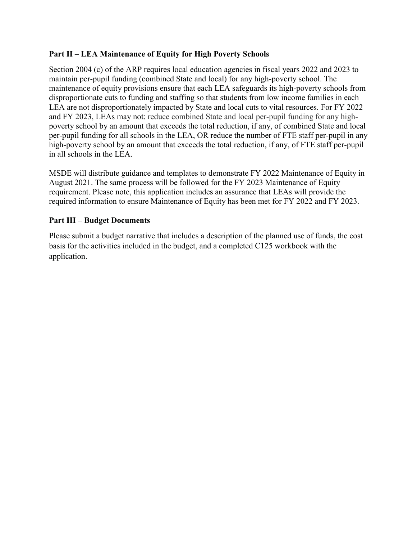## **Part II – LEA Maintenance of Equity for High Poverty Schools**

Section 2004 (c) of the ARP requires local education agencies in fiscal years 2022 and 2023 to maintain per-pupil funding (combined State and local) for any high-poverty school. The maintenance of equity provisions ensure that each LEA safeguards its high-poverty schools from disproportionate cuts to funding and staffing so that students from low income families in each LEA are not disproportionately impacted by State and local cuts to vital resources. For FY 2022 and FY 2023, LEAs may not: reduce combined State and local per-pupil funding for any highpoverty school by an amount that exceeds the total reduction, if any, of combined State and local per-pupil funding for all schools in the LEA, OR reduce the number of FTE staff per-pupil in any high-poverty school by an amount that exceeds the total reduction, if any, of FTE staff per-pupil in all schools in the LEA.

MSDE will distribute guidance and templates to demonstrate FY 2022 Maintenance of Equity in August 2021. The same process will be followed for the FY 2023 Maintenance of Equity requirement. Please note, this application includes an assurance that LEAs will provide the required information to ensure Maintenance of Equity has been met for FY 2022 and FY 2023.

## **Part III – Budget Documents**

Please submit a budget narrative that includes a description of the planned use of funds, the cost basis for the activities included in the budget, and a completed C125 workbook with the application.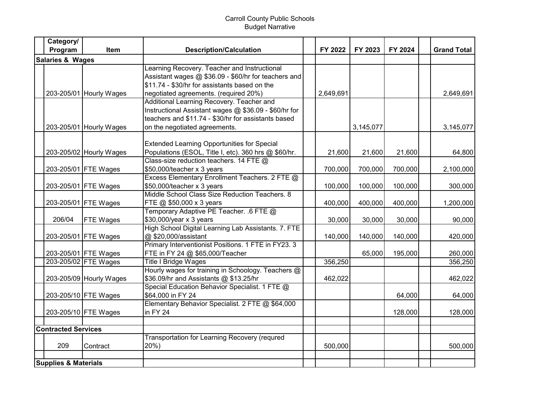## Carroll County Public Schools Budget Narrative

|                             | Category/                       |                         |                                                       |           |           |         |                    |
|-----------------------------|---------------------------------|-------------------------|-------------------------------------------------------|-----------|-----------|---------|--------------------|
|                             | Program                         | <b>Item</b>             | <b>Description/Calculation</b>                        | FY 2022   | FY 2023   | FY 2024 | <b>Grand Total</b> |
| <b>Salaries &amp; Wages</b> |                                 |                         |                                                       |           |           |         |                    |
|                             |                                 |                         | Learning Recovery. Teacher and Instructional          |           |           |         |                    |
|                             |                                 |                         | Assistant wages @ \$36.09 - \$60/hr for teachers and  |           |           |         |                    |
|                             |                                 |                         | \$11.74 - \$30/hr for assistants based on the         |           |           |         |                    |
|                             |                                 | 203-205/01 Hourly Wages | negotiated agreements. (required 20%)                 | 2,649,691 |           |         | 2,649,691          |
|                             |                                 |                         | Additional Learning Recovery. Teacher and             |           |           |         |                    |
|                             |                                 |                         | Instructional Assistant wages @ \$36.09 - \$60/hr for |           |           |         |                    |
|                             |                                 |                         | teachers and \$11.74 - \$30/hr for assistants based   |           |           |         |                    |
|                             |                                 | 203-205/01 Hourly Wages | on the negotiated agreements.                         |           | 3,145,077 |         | 3,145,077          |
|                             |                                 |                         |                                                       |           |           |         |                    |
|                             |                                 |                         | <b>Extended Learning Opportunities for Special</b>    |           |           |         |                    |
|                             |                                 | 203-205/02 Hourly Wages | Populations (ESOL, Title I, etc). 360 hrs @ \$60/hr.  | 21,600    | 21,600    | 21,600  | 64,800             |
|                             |                                 |                         | Class-size reduction teachers. 14 FTE @               |           |           |         |                    |
|                             |                                 | 203-205/01 FTE Wages    | \$50,000/teacher x 3 years                            | 700,000   | 700,000   | 700,000 | 2,100,000          |
|                             |                                 |                         | Excess Elementary Enrollment Teachers. 2 FTE @        |           |           |         |                    |
|                             |                                 | 203-205/01 FTE Wages    | \$50,000/teacher x 3 years                            | 100,000   | 100,000   | 100,000 | 300,000            |
|                             |                                 |                         | Middle School Class Size Reduction Teachers. 8        |           |           |         |                    |
|                             |                                 | 203-205/01 FTE Wages    | FTE @ \$50,000 x 3 years                              | 400,000   | 400,000   | 400,000 | 1,200,000          |
|                             |                                 |                         | Temporary Adaptive PE Teacher. .6 FTE @               |           |           |         |                    |
|                             | 206/04                          | <b>FTE Wages</b>        | \$30,000/year x 3 years                               | 30,000    | 30,000    | 30,000  | 90,000             |
|                             |                                 |                         | High School Digital Learning Lab Assistants. 7. FTE   |           |           |         |                    |
|                             |                                 | 203-205/01 FTE Wages    | @ \$20,000/assistant                                  | 140,000   | 140,000   | 140,000 | 420,000            |
|                             |                                 |                         | Primary Interventionist Positions. 1 FTE in FY23. 3   |           |           |         |                    |
|                             |                                 | 203-205/01 FTE Wages    | FTE in FY 24 @ \$65,000/Teacher                       |           | 65,000    | 195,000 | 260,000            |
|                             |                                 | 203-205/02 FTE Wages    | <b>Title I Bridge Wages</b>                           | 356,250   |           |         | 356,250            |
|                             |                                 |                         | Hourly wages for training in Schoology. Teachers @    |           |           |         |                    |
|                             |                                 | 203-205/09 Hourly Wages | \$36.09/hr and Assistants @ \$13.25/hr                | 462,022   |           |         | 462,022            |
|                             |                                 |                         | Special Education Behavior Specialist. 1 FTE @        |           |           |         |                    |
|                             |                                 | 203-205/10 FTE Wages    | \$64,000 in FY 24                                     |           |           | 64,000  | 64,000             |
|                             |                                 |                         | Elementary Behavior Specialist. 2 FTE @ \$64,000      |           |           |         |                    |
|                             |                                 | 203-205/10 FTE Wages    | in FY 24                                              |           |           | 128,000 | 128,000            |
|                             |                                 |                         |                                                       |           |           |         |                    |
|                             | <b>Contracted Services</b>      |                         |                                                       |           |           |         |                    |
|                             |                                 |                         | Transportation for Learning Recovery (requred         |           |           |         |                    |
|                             | 209                             | Contract                | 20%)                                                  | 500,000   |           |         | 500,000            |
|                             |                                 |                         |                                                       |           |           |         |                    |
|                             | <b>Supplies &amp; Materials</b> |                         |                                                       |           |           |         |                    |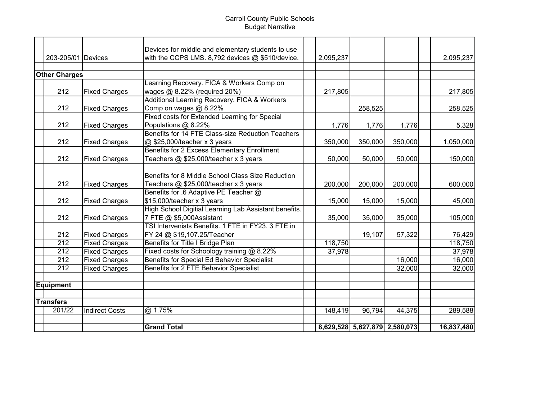## Carroll County Public Schools Budget Narrative

|                      |                       | Devices for middle and elementary students to use                           |  |           |                               |         |            |
|----------------------|-----------------------|-----------------------------------------------------------------------------|--|-----------|-------------------------------|---------|------------|
| 203-205/01 Devices   |                       | with the CCPS LMS. 8,792 devices @ \$510/device.                            |  | 2,095,237 |                               |         | 2,095,237  |
|                      |                       |                                                                             |  |           |                               |         |            |
| <b>Other Charges</b> |                       |                                                                             |  |           |                               |         |            |
| 212                  |                       | Learning Recovery. FICA & Workers Comp on                                   |  | 217,805   |                               |         | 217,805    |
|                      | <b>Fixed Charges</b>  | wages @ 8.22% (required 20%)                                                |  |           |                               |         |            |
|                      |                       | Additional Learning Recovery. FICA & Workers                                |  |           |                               |         |            |
| 212                  | <b>Fixed Charges</b>  | Comp on wages @ 8.22%                                                       |  |           | 258,525                       |         | 258,525    |
|                      |                       | Fixed costs for Extended Learning for Special                               |  |           |                               |         |            |
| 212                  | <b>Fixed Charges</b>  | Populations @ 8.22%<br>Benefits for 14 FTE Class-size Reduction Teachers    |  | 1,776     | 1,776                         | 1,776   | 5,328      |
|                      |                       |                                                                             |  |           |                               |         |            |
| 212                  | <b>Fixed Charges</b>  | @ \$25,000/teacher x 3 years<br>Benefits for 2 Excess Elementary Enrollment |  | 350,000   | 350,000                       | 350,000 | 1,050,000  |
|                      |                       |                                                                             |  |           |                               |         |            |
| 212                  | <b>Fixed Charges</b>  | Teachers @ \$25,000/teacher x 3 years                                       |  | 50,000    | 50,000                        | 50,000  | 150,000    |
|                      |                       |                                                                             |  |           |                               |         |            |
|                      |                       | Benefits for 8 Middle School Class Size Reduction                           |  |           |                               |         |            |
| 212                  | <b>Fixed Charges</b>  | Teachers @ \$25,000/teacher x 3 years                                       |  | 200,000   | 200,000                       | 200,000 | 600,000    |
|                      |                       | Benefits for .6 Adaptive PE Teacher @                                       |  |           |                               |         |            |
| 212                  | <b>Fixed Charges</b>  | \$15,000/teacher x 3 years                                                  |  | 15,000    | 15,000                        | 15,000  | 45,000     |
|                      |                       | High School Digitial Learning Lab Assistant benefits.                       |  |           |                               |         |            |
| 212                  | <b>Fixed Charges</b>  | 7 FTE @ \$5,000Assistant                                                    |  | 35,000    | 35,000                        | 35,000  | 105,000    |
|                      |                       | TSI Intervenists Benefits, 1 FTE in FY23, 3 FTE in                          |  |           |                               |         |            |
| 212                  | <b>Fixed Charges</b>  | FY 24 @ \$19,107.25/Teacher                                                 |  |           | 19,107                        | 57,322  | 76,429     |
| $\overline{212}$     | <b>Fixed Charges</b>  | Benefits for Title I Bridge Plan                                            |  | 118,750   |                               |         | 118,750    |
| $\overline{212}$     | <b>Fixed Charges</b>  | Fixed costs for Schoology training @ 8.22%                                  |  | 37,978    |                               |         | 37,978     |
| $\overline{212}$     | <b>Fixed Charges</b>  | Benefits for Special Ed Behavior Specialist                                 |  |           |                               | 16,000  | 16,000     |
| $\overline{212}$     | <b>Fixed Charges</b>  | Benefits for 2 FTE Behavior Specialist                                      |  |           |                               | 32,000  | 32,000     |
|                      |                       |                                                                             |  |           |                               |         |            |
| <b>Equipment</b>     |                       |                                                                             |  |           |                               |         |            |
|                      |                       |                                                                             |  |           |                               |         |            |
| <b>Transfers</b>     |                       |                                                                             |  |           |                               |         |            |
| 201/22               | <b>Indirect Costs</b> | @ 1.75%                                                                     |  | 148,419   | 96,794                        | 44,375  | 289,588    |
|                      |                       |                                                                             |  |           |                               |         |            |
|                      |                       | <b>Grand Total</b>                                                          |  |           | 8,629,528 5,627,879 2,580,073 |         | 16,837,480 |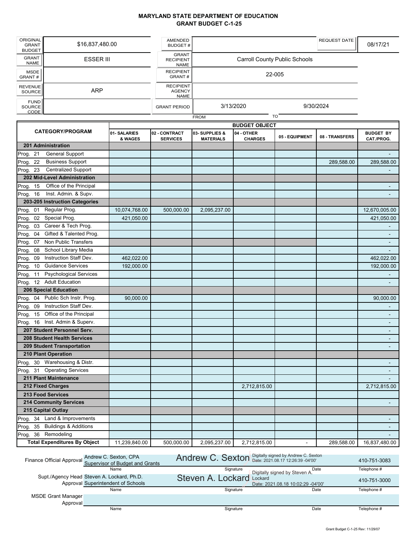#### **MARYLAND STATE DEPARTMENT OF EDUCATION GRANT BUDGET C-1-25**

| ORIGINAL<br><b>GRANT</b><br><b>BUDGET</b> | \$16,837,480.00  | <b>AMENDED</b><br><b>BUDGET#</b>                 |             | REQUEST DATE                         | 08/17/21 |
|-------------------------------------------|------------------|--------------------------------------------------|-------------|--------------------------------------|----------|
| <b>GRANT</b><br><b>NAME</b>               | <b>ESSER III</b> | <b>GRANT</b><br><b>RECIPIENT</b><br><b>NAME</b>  |             | <b>Carroll County Public Schools</b> |          |
| MSDE <sup>1</sup><br>GRANT#               |                  | <b>RECIPIENT</b><br>GRANT#                       |             | 22-005                               |          |
| REVENUE<br>SOURCE                         | <b>ARP</b>       | <b>RECIPIENT</b><br><b>AGENCY</b><br><b>NAME</b> |             |                                      |          |
| FUND<br>SOURCE<br>CODE                    |                  | <b>GRANT PERIOD</b>                              | 3/13/2020   | 9/30/2024                            |          |
|                                           |                  |                                                  | <b>FROM</b> | <b>TO</b>                            |          |

|                                           | <b>BUDGET OBJECT</b>   |                                  |                                   |                              |                |                |                                |
|-------------------------------------------|------------------------|----------------------------------|-----------------------------------|------------------------------|----------------|----------------|--------------------------------|
| <b>CATEGORY/PROGRAM</b>                   | 01-SALARIES<br>& WAGES | 02 - CONTRACT<br><b>SERVICES</b> | 03-SUPPLIES &<br><b>MATERIALS</b> | 04 - OTHER<br><b>CHARGES</b> | 05 - EQUIPMENT | 08 - TRANSFERS | <b>BUDGET BY</b><br>CAT./PROG. |
| 201 Administration                        |                        |                                  |                                   |                              |                |                |                                |
| <b>General Support</b><br>Prog. 21        |                        |                                  |                                   |                              |                |                |                                |
| <b>Business Support</b><br>Prog. 22       |                        |                                  |                                   |                              |                | 289,588.00     | 289,588.00                     |
| Prog. 23<br><b>Centralized Support</b>    |                        |                                  |                                   |                              |                |                |                                |
| 202 Mid-Level Administration              |                        |                                  |                                   |                              |                |                |                                |
| Office of the Principal<br>Prog.<br>15    |                        |                                  |                                   |                              |                |                | $\blacksquare$                 |
| Inst. Admin. & Supv.<br>Prog. 16          |                        |                                  |                                   |                              |                |                | $\blacksquare$                 |
| 203-205 Instruction Categories            |                        |                                  |                                   |                              |                |                |                                |
| Regular Prog.<br>Prog. 01                 | 10,074,768.00          | 500,000.00                       | 2,095,237.00                      |                              |                |                | 12,670,005.00                  |
| Prog. 02 Special Prog.                    | 421,050.00             |                                  |                                   |                              |                |                | 421,050.00                     |
| 03 Career & Tech Prog.<br>Prog.           |                        |                                  |                                   |                              |                |                |                                |
| Gifted & Talented Prog.<br>Prog.<br>04    |                        |                                  |                                   |                              |                |                | L.                             |
| Prog.<br>Non Public Transfers<br>07       |                        |                                  |                                   |                              |                |                |                                |
| School Library Media<br>Prog.<br>08       |                        |                                  |                                   |                              |                |                |                                |
| Instruction Staff Dev.<br>Prog.<br>09     | 462,022.00             |                                  |                                   |                              |                |                | 462,022.00                     |
| 10 Guidance Services<br>Prog.             | 192,000.00             |                                  |                                   |                              |                |                | 192,000.00                     |
| <b>Psychological Services</b><br>Prog. 11 |                        |                                  |                                   |                              |                |                |                                |
| Prog. 12 Adult Education                  |                        |                                  |                                   |                              |                |                |                                |
| 206 Special Education                     |                        |                                  |                                   |                              |                |                |                                |
| 04 Public Sch Instr. Prog.<br>Prog.       | 90,000.00              |                                  |                                   |                              |                |                | 90,000.00                      |
| Instruction Staff Dev.<br>Prog.<br>09     |                        |                                  |                                   |                              |                |                |                                |
| Prog. 15 Office of the Principal          |                        |                                  |                                   |                              |                |                | $\blacksquare$                 |
| Prog. 16 Inst. Admin & Superv.            |                        |                                  |                                   |                              |                |                |                                |
| 207 Student Personnel Serv.               |                        |                                  |                                   |                              |                |                |                                |
| 208 Student Health Services               |                        |                                  |                                   |                              |                |                |                                |
| <b>209 Student Transportation</b>         |                        |                                  |                                   |                              |                |                |                                |
| <b>210 Plant Operation</b>                |                        |                                  |                                   |                              |                |                |                                |
| Warehousing & Distr.<br>30<br>Prog.       |                        |                                  |                                   |                              |                |                | $\blacksquare$                 |
| Prog. 31 Operating Services               |                        |                                  |                                   |                              |                |                | $\sim$                         |
| 211 Plant Maintenance                     |                        |                                  |                                   |                              |                |                |                                |
| 212 Fixed Charges                         |                        |                                  |                                   | 2,712,815.00                 |                |                | 2,712,815.00                   |
| 213 Food Services                         |                        |                                  |                                   |                              |                |                |                                |
| <b>214 Community Services</b>             |                        |                                  |                                   |                              |                |                |                                |
| 215 Capital Outlay                        |                        |                                  |                                   |                              |                |                |                                |
| 34 Land & Improvements<br>Prog.           |                        |                                  |                                   |                              |                |                | $\sim$                         |
| 35 Buildings & Additions<br>Prog.         |                        |                                  |                                   |                              |                |                | $\overline{\phantom{a}}$       |
| Remodeling<br>36<br>Prog.                 |                        |                                  |                                   |                              |                |                |                                |
| <b>Total Expenditures By Object</b>       | 11,239,840.00          | 500,000.00                       | 2,095,237.00                      | 2,712,815.00                 | $\blacksquare$ | 289,588.00     | 16,837,480.00                  |

| Finance Official Approval | Andrew C. Sexton, CPA<br>Supervisor of Budget and Grants                         | Andrew C. Sexton Digitally signed by Andrew C. Sexton |                                              | 410-751-3083 |
|---------------------------|----------------------------------------------------------------------------------|-------------------------------------------------------|----------------------------------------------|--------------|
|                           | Name                                                                             | Signature                                             | Date<br>Digitally signed by Steven A.        | Telephone #  |
|                           | Supt./Agency Head Steven A. Lockard, Ph.D.<br>Approval Superintendent of Schools | Steven A. Lockard                                     | Lockard<br>Date: 2021.08.18 10:02:29 -04'00' | 410-751-3000 |
|                           | Name                                                                             | Signature                                             | Date                                         | Telephone #  |
| MSDE Grant Manager        |                                                                                  |                                                       |                                              |              |
| Approval                  | Name                                                                             | Signature                                             | Date                                         | Telephone #  |